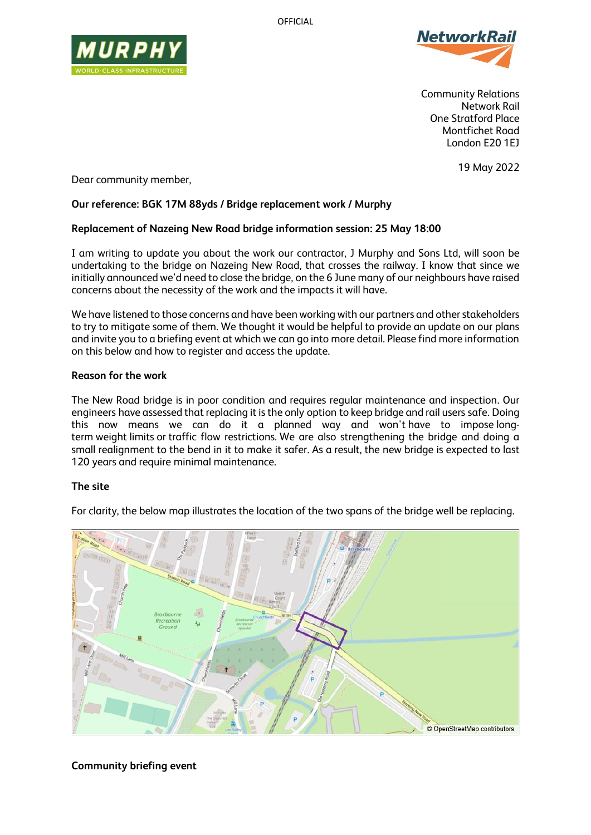OFFICIAL





Community Relations Network Rail One Stratford Place Montfichet Road London E20 1EJ

19 May 2022

Dear community member,

## **Our reference: BGK 17M 88yds / Bridge replacement work / Murphy**

## **Replacement of Nazeing New Road bridge information session: 25 May 18:00**

I am writing to update you about the work our contractor, J Murphy and Sons Ltd, will soon be undertaking to the bridge on Nazeing New Road, that crosses the railway. I know that since we initially announced we'd need to close the bridge, on the 6 June many of our neighbours have raised concerns about the necessity of the work and the impacts it will have.

We have listened to those concerns and have been working with our partners and other stakeholders to try to mitigate some of them. We thought it would be helpful to provide an update on our plans and invite you to a briefing event at which we can go into more detail. Please find more information on this below and how to register and access the update.

### **Reason for the work**

The New Road bridge is in poor condition and requires regular maintenance and inspection. Our engineers have assessed that replacing it is the only option to keep bridge and rail users safe. Doing this now means we can do it a planned way and won't have to impose longterm weight limits or traffic flow restrictions. We are also strengthening the bridge and doing a small realignment to the bend in it to make it safer. As a result, the new bridge is expected to last 120 years and require minimal maintenance.

# **The site**

For clarity, the below map illustrates the location of the two spans of the bridge well be replacing.



**Community briefing event**